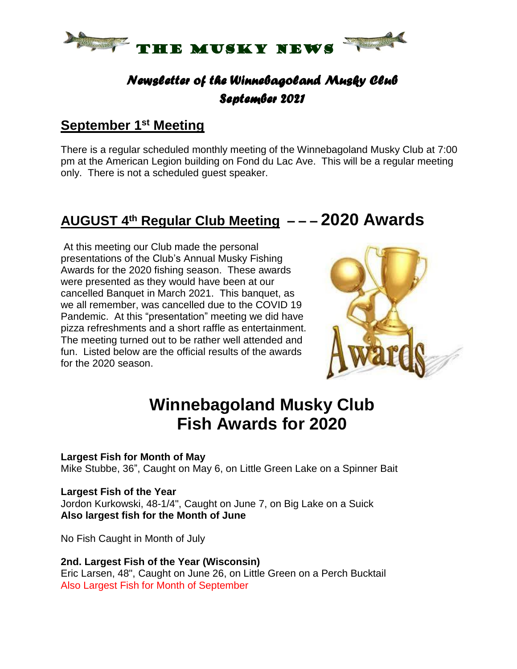

### *Newsletter of the Winnebagoland Musky Club September 2021*

### **September 1 st Meeting**

There is a regular scheduled monthly meeting of the Winnebagoland Musky Club at 7:00 pm at the American Legion building on Fond du Lac Ave. This will be a regular meeting only. There is not a scheduled guest speaker.

## **AUGUST 4 th Regular Club Meeting – – – 2020 Awards**

At this meeting our Club made the personal presentations of the Club's Annual Musky Fishing Awards for the 2020 fishing season. These awards were presented as they would have been at our cancelled Banquet in March 2021. This banquet, as we all remember, was cancelled due to the COVID 19 Pandemic. At this "presentation" meeting we did have pizza refreshments and a short raffle as entertainment. The meeting turned out to be rather well attended and fun. Listed below are the official results of the awards for the 2020 season.



# **Winnebagoland Musky Club Fish Awards for 2020**

### **Largest Fish for Month of May**

Mike Stubbe, 36", Caught on May 6, on Little Green Lake on a Spinner Bait

#### **Largest Fish of the Year**

Jordon Kurkowski, 48-1/4", Caught on June 7, on Big Lake on a Suick **Also largest fish for the Month of June**

No Fish Caught in Month of July

### **2nd. Largest Fish of the Year (Wisconsin)**

Eric Larsen, 48", Caught on June 26, on Little Green on a Perch Bucktail Also Largest Fish for Month of September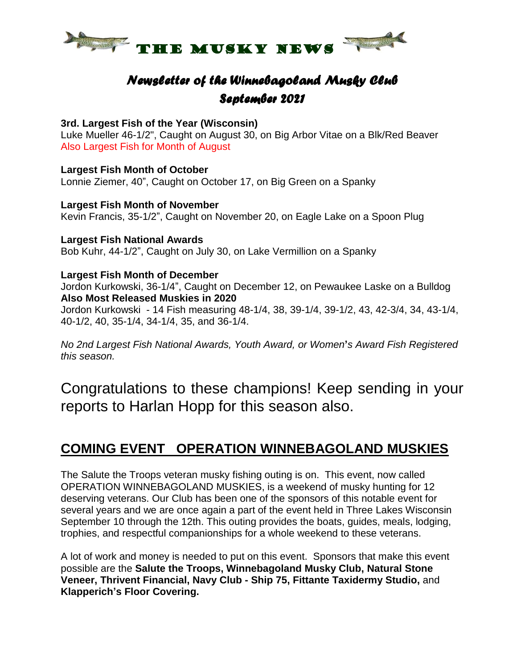

### *Newsletter of the Winnebagoland Musky Club September 2021*

#### **3rd. Largest Fish of the Year (Wisconsin)**

Luke Mueller 46-1/2", Caught on August 30, on Big Arbor Vitae on a Blk/Red Beaver Also Largest Fish for Month of August

**Largest Fish Month of October** Lonnie Ziemer, 40", Caught on October 17, on Big Green on a Spanky

#### **Largest Fish Month of November**

Kevin Francis, 35-1/2", Caught on November 20, on Eagle Lake on a Spoon Plug

#### **Largest Fish National Awards**

Bob Kuhr, 44-1/2", Caught on July 30, on Lake Vermillion on a Spanky

#### **Largest Fish Month of December**

Jordon Kurkowski, 36-1/4", Caught on December 12, on Pewaukee Laske on a Bulldog **Also Most Released Muskies in 2020**

Jordon Kurkowski - 14 Fish measuring 48-1/4, 38, 39-1/4, 39-1/2, 43, 42-3/4, 34, 43-1/4, 40-1/2, 40, 35-1/4, 34-1/4, 35, and 36-1/4.

*No 2nd Largest Fish National Awards, Youth Award, or Women***'***s Award Fish Registered this season.*

Congratulations to these champions! Keep sending in your reports to Harlan Hopp for this season also.

### **COMING EVENT OPERATION WINNEBAGOLAND MUSKIES**

The Salute the Troops veteran musky fishing outing is on. This event, now called OPERATION WINNEBAGOLAND MUSKIES, is a weekend of musky hunting for 12 deserving veterans. Our Club has been one of the sponsors of this notable event for several years and we are once again a part of the event held in Three Lakes Wisconsin September 10 through the 12th. This outing provides the boats, guides, meals, lodging, trophies, and respectful companionships for a whole weekend to these veterans.

A lot of work and money is needed to put on this event. Sponsors that make this event possible are the **Salute the Troops, Winnebagoland Musky Club, Natural Stone Veneer, Thrivent Financial, Navy Club - Ship 75, Fittante Taxidermy Studio,** and **Klapperich's Floor Covering.**